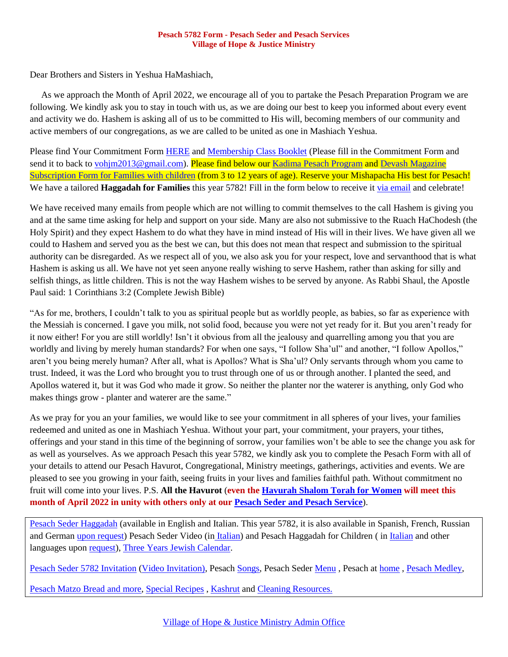## **Pesach 5782 Form - Pesach Seder and Pesach Services Village of Hope & Justice Ministry**

Dear Brothers and Sisters in Yeshua HaMashiach,

 As we approach the Month of April 2022, we encourage all of you to partake the Pesach Preparation Program we are following. We kindly ask you to stay in touch with us, as we are doing our best to keep you informed about every event and activity we do. Hashem is asking all of us to be committed to His will, becoming members of our community and active members of our congregations, as we are called to be united as one in Mashiach Yeshua.

Please find Your Commitment Form [HERE](https://villageofhopejusticeministry.files.wordpress.com/2019/07/beit-shalom-membership_commitment_form.pdf) and [Membership Class Booklet](https://villageofhopejusticeministry.files.wordpress.com/2019/07/membership_class_booklet-3.pdf) (Please fill in the Commitment Form and send it to back to [vohjm2013@gmail.com\)](mailto:vohjm2013@gmail.com). Please find below our [Kadima Pesach Program](mailto:contact@machasehsheltikvah.org) and [Devash Magazine](mailto:contact@machasehsheltikvah.org) [Subscription Form for Families with children](mailto:contact@machasehsheltikvah.org) (from 3 to 12 years of age). Reserve your Mishapacha His best for Pesach! We have a tailored **Haggadah for Families** this year 5782! Fill in the form below to receive it [via email](mailto:vohjm2013@gmail.com) and celebrate!

We have received many emails from people which are not willing to commit themselves to the call Hashem is giving you and at the same time asking for help and support on your side. Many are also not submissive to the Ruach HaChodesh (the Holy Spirit) and they expect Hashem to do what they have in mind instead of His will in their lives. We have given all we could to Hashem and served you as the best we can, but this does not mean that respect and submission to the spiritual authority can be disregarded. As we respect all of you, we also ask you for your respect, love and servanthood that is what Hashem is asking us all. We have not yet seen anyone really wishing to serve Hashem, rather than asking for silly and selfish things, as little children. This is not the way Hashem wishes to be served by anyone. As Rabbi Shaul, the Apostle Paul said: 1 Corinthians 3:2 (Complete Jewish Bible)

"As for me, brothers, I couldn't talk to you as spiritual people but as worldly people, as babies, so far as experience with the Messiah is concerned. I gave you milk, not solid food, because you were not yet ready for it. But you aren't ready for it now either! For you are still worldly! Isn't it obvious from all the jealousy and quarrelling among you that you are worldly and living by merely human standards? For when one says, "I follow Sha'ul" and another, "I follow Apollos," aren't you being merely human? After all, what is Apollos? What is Sha'ul? Only servants through whom you came to trust. Indeed, it was the Lord who brought you to trust through one of us or through another. I planted the seed, and Apollos watered it, but it was God who made it grow. So neither the planter nor the waterer is anything, only God who makes things grow - planter and waterer are the same."

As we pray for you an your families, we would like to see your commitment in all spheres of your lives, your families redeemed and united as one in Mashiach Yeshua. Without your part, your commitment, your prayers, your tithes, offerings and your stand in this time of the beginning of sorrow, your families won't be able to see the change you ask for as well as yourselves. As we approach Pesach this year 5782, we kindly ask you to complete the Pesach Form with all of your details to attend our Pesach Havurot, Congregational, Ministry meetings, gatherings, activities and events. We are pleased to see you growing in your faith, seeing fruits in your lives and families faithful path. Without commitment no fruit will come into your lives. P.S. **All the Havurot** (**even th[e Havurah Shalom Torah for Women](mailto:contact@machasehsheltikvah.org) will meet this month of April 2022 in unity with others only at our [Pesach Seder and Pesach Service](mailto:contact@machasehsheltikvah.org)**).

[Pesach Seder](https://villageofhopejusticeministry.files.wordpress.com/2018/04/messianic-passover-haggadah-in-english.pdf) Haggadah (available in English and Italian. This year 5782, it is also available in Spanish, French, Russian and German [upon request\)](mailto:vohjm2013@gmail.com) Pesach Seder Video (in [Italian\)](https://www.youtube.com/watch?v=noTpLlj6Quk) and Pesach Haggadah for Children ( in [Italian](https://villageofhopejusticeministry.files.wordpress.com/2021/04/haggadah-pdf-bambini.pdf) and other languages upon [request\)](mailto:vohjm2013@gmail.com), Three Years [Jewish Calendar.](https://jr.co.il/hotsites/jewish.htm)

[Pesach Seder 5782 Invitation](https://villageofhopejusticeministry.files.wordpress.com/2022/03/message-from-the-rabbi-and-the-rebbetzin.pdf) [\(Video](https://www.youtube.com/watch?v=XBZurmVKipQ) Invitation), Pesach [Songs,](https://jr.co.il/links/#hebrew-songs) Pesach Seder [Menu](https://villageofhopejusticeministry.files.wordpress.com/2021/03/takeout-pesach-passover-seder-dinners-menu.pdf) , Pesach at [home](https://villageofhopejusticeministry.files.wordpress.com/2021/03/pesach-passover-at-home.pdf) , [Pesach Medley,](https://soundcloud.com/user-114005263/pesach-seder-medley)

Pesach Matzo [Bread and more,](https://villageofhopejusticeministry.org/jewish-recipes-ricette-ebraiche/) [Special Recipes](https://villageofhopejusticeministry.files.wordpress.com/2020/04/3-matzo-lasagna-recipes.pdf) , [Kashrut](https://villageofhopejusticeministry.files.wordpress.com/2020/04/cleaning-and-kashering-for-pesach-passover-pulizia-e-kasherizzazione-della-casa-per-pesach-pasqua-ebraica.pdf) and [Cleaning Resources.](https://villageofhopejusticeministry.files.wordpress.com/2020/04/cleaning-and-kashering-for-pesach-passover-pulizia-e-kasherizzazione-della-casa-per-pesach-pasqua-ebraica.pdf)